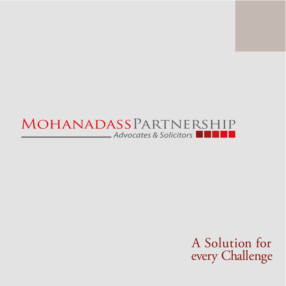#### MOHANADASSPARTNERSHIP Advocates & Solicitors m.

A Solution for every Challenge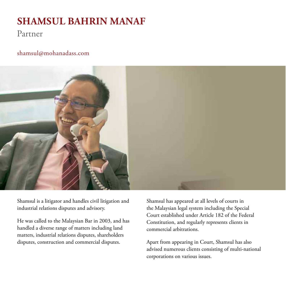## **SHAMSUL BAHRIN MANAF**

### Partner

#### shamsul@mohanadass.com



Shamsul is a litigator and handles civil litigation and industrial relations disputes and advisory.

He was called to the Malaysian Bar in 2003, and has handled a diverse range of matters including land matters, industrial relations disputes, shareholders disputes, construction and commercial disputes.

Shamsul has appeared at all levels of courts in the Malaysian legal system including the Special Court established under Article 182 of the Federal Constitution, and regularly represents clients in commercial arbitrations.

Apart from appearing in Court, Shamsul has also advised numerous clients consisting of multi-national corporations on various issues.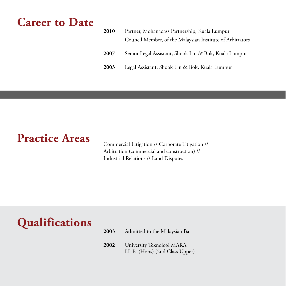## **Career to Date**

| 2010 | Partner, Mohanadass Partnership, Kuala Lumpur             |  |
|------|-----------------------------------------------------------|--|
|      | Council Member, of the Malaysian Institute of Arbitrators |  |
| 2007 | Senior Legal Assistant, Shook Lin & Bok, Kuala Lumpur     |  |
| 2003 | Legal Assistant, Shook Lin & Bok, Kuala Lumpur            |  |

# **Practice Areas** Commercial Litigation // Corporate Litigation //

Arbitration (commercial and construction) // Industrial Relations // Land Disputes

# **Qualifications**

- **2003** Admitted to the Malaysian Bar
- **2002** University Teknologi MARA LL.B. (Hons) (2nd Class Upper)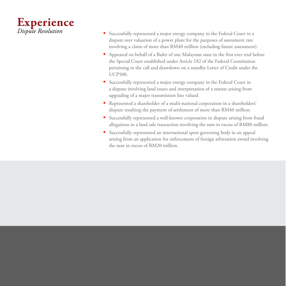

- *•* Successfully represented a major energy company in the Federal Court in a dispute over valuation of a power plant for the purposes of assessment rate involving a claim of more than RM40 million (excluding future assessment).
- *•* Appeared on behalf of a Ruler of one Malaysian state in the frst ever trial before the Special Court established under Article 182 of the Federal Constitution pertaining to the call and drawdown on a standby Letter of Credit under the UCP500.
- *•* Successfully represented a major energy company in the Federal Court in a dispute involving land issues and interpretation of a statute arising from upgrading of a major transmission line valued.
- *•* Represented a shareholder of a multi-national corporation in a shareholders' dispute resulting the payment of settlement of more than RM40 million.
- *•* Successfully represented a well-known corporation in dispute arising from fraud allegations in a land sale transaction involving the sum in excess of RM80 million.
- *•* Successfully represented an international sport governing body in an appeal arising from an application for enforcement of foreign arbitration award involving the sum in excess of RM20 million.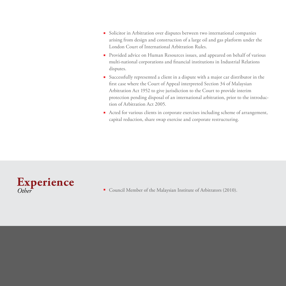- Solicitor in Arbitration over disputes between two international companies arising from design and construction of a large oil and gas platform under the London Court of International Arbitration Rules.
- Provided advice on Human Resources issues, and appeared on behalf of various multi-national corporations and financial institutions in Industrial Relations disputes.
- Successfully represented a client in a dispute with a major car distributor in the first case where the Court of Appeal interpreted Section 34 of Malaysian Arbitration Act 1952 to give jurisdiction to the Court to provide interim protection pending disposal of an international arbitration, prior to the introduction of Arbitration Act 2005.
- Acted for various clients in corporate exercises including scheme of arrangement, capital reduction, share swap exercise and corporate restructuring.



■ Council Member of the Malaysian Institute of Arbitrators (2010).